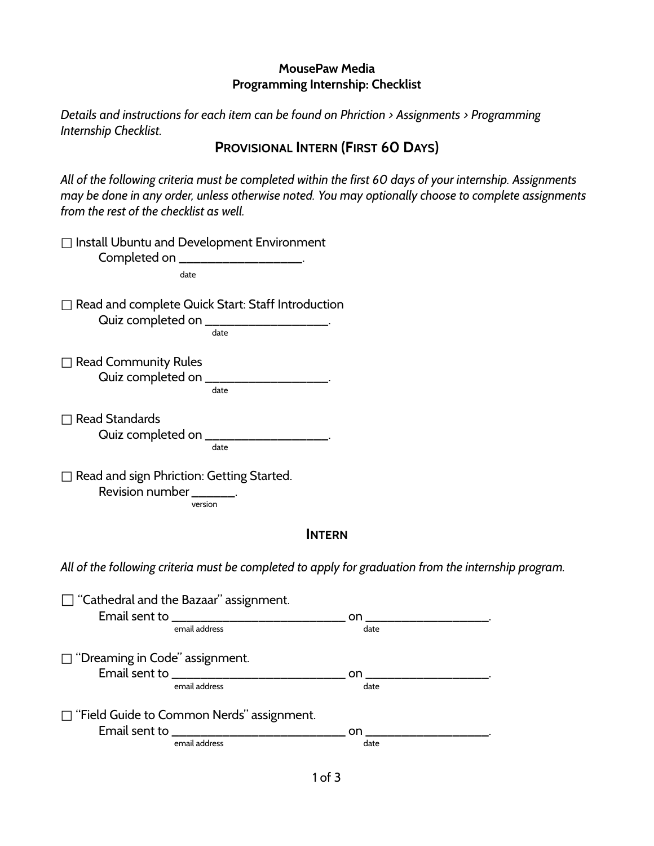## **MousePaw Media Programming Internship: Checklist**

*Details and instructions for each item can be found on Phriction > Assignments > Programming Internship Checklist.*

## **PROVISIONAL INTERN (FIRST 60 DAYS)**

*All of the following criteria must be completed within the first 60 days of your internship. Assignments may be done in any order, unless otherwise noted. You may optionally choose to complete assignments from the rest of the checklist as well.*

| □ Install Ubuntu and Development Environment<br>Completed on ____________________                      |            |
|--------------------------------------------------------------------------------------------------------|------------|
| date                                                                                                   |            |
| □ Read and complete Quick Start: Staff Introduction<br>Quiz completed on ____________________<br>date  |            |
| $\Box$ Read Community Rules<br>Quiz completed on __________________<br>date                            |            |
| $\Box$ Read Standards<br>Quiz completed on _____<br>date                                               |            |
| Read and sign Phriction: Getting Started.<br>Revision number _______.<br>version                       |            |
| <b>INTERN</b>                                                                                          |            |
| All of the following criteria must be completed to apply for graduation from the interr                |            |
| $\sqsupset$ "Cathedral and the Bazaar" assignment.<br>Email sent to _________________<br>email address | on<br>date |
| $\Box$ "Dreaming in Code" assignment.<br>Email sent to ______________<br>email address                 | on<br>date |
| $\Box$ "Field Guide to Common Nerds" assignment.<br>Email sent to ______<br>email address              | on<br>date |
|                                                                                                        |            |

*All of the following criteria must be completed to apply for graduation from the internship program.*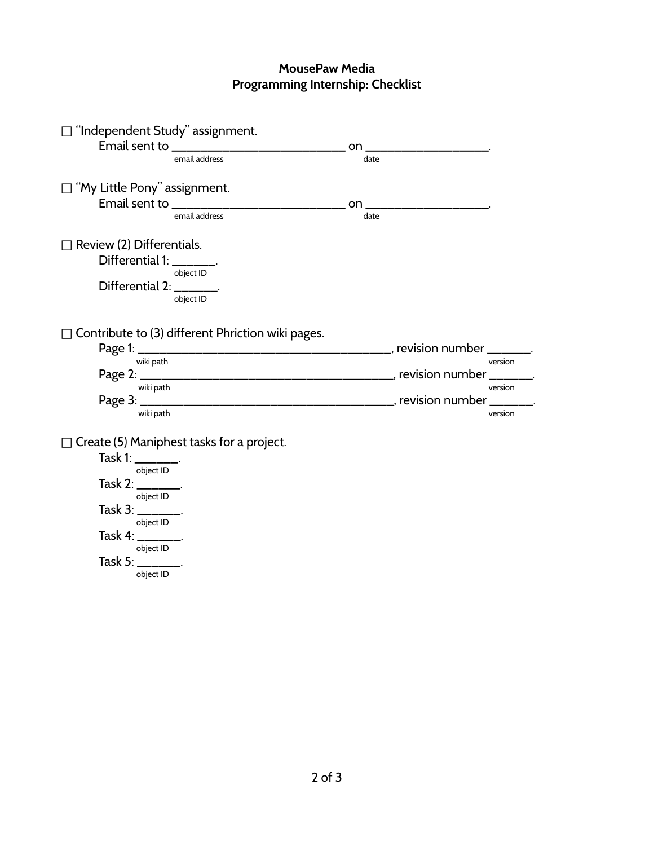## **MousePaw Media Programming Internship: Checklist**

| $\Box$ "Independent Study" assignment.            |      |         |
|---------------------------------------------------|------|---------|
|                                                   | on   |         |
| email address                                     | date |         |
|                                                   |      |         |
| $\sqsupset$ "My Little Pony" assignment.          |      |         |
|                                                   | on.  |         |
| email address                                     | date |         |
| Review (2) Differentials.                         |      |         |
| Differential 1: ________.                         |      |         |
| object ID                                         |      |         |
| Differential 2: ________.                         |      |         |
| object ID                                         |      |         |
|                                                   |      |         |
| Contribute to (3) different Phriction wiki pages. |      |         |
|                                                   |      |         |
| wiki path                                         |      | version |
|                                                   |      |         |
| wiki path                                         |      | version |
|                                                   |      |         |
| wiki path                                         |      | version |
|                                                   |      |         |
| Create (5) Maniphest tasks for a project.         |      |         |
| Task 1: $\frac{1}{2}$                             |      |         |
| object ID                                         |      |         |
| Task 2: ________.                                 |      |         |
| object ID                                         |      |         |
| Task 3: _______.                                  |      |         |
| object ID                                         |      |         |
| Task 4: ________.                                 |      |         |
| object ID                                         |      |         |
| Task 5: ________.                                 |      |         |

object ID